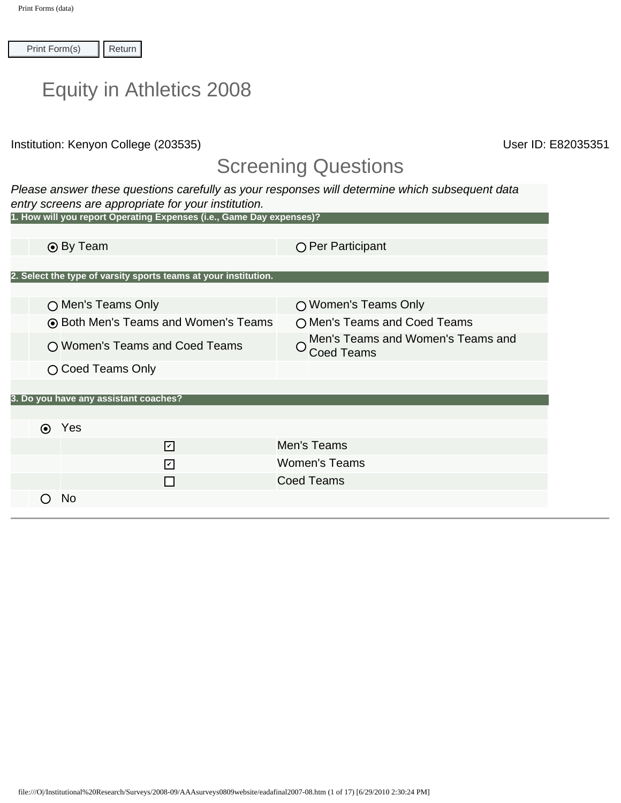| $\prod$ Return |  |
|----------------|--|
|----------------|--|

|  |  | <b>Equity in Athletics 2008</b> |  |
|--|--|---------------------------------|--|
|--|--|---------------------------------|--|

## Screening Questions

| Print Form(s)          | Return                                                                                                                         |                                                                                                |
|------------------------|--------------------------------------------------------------------------------------------------------------------------------|------------------------------------------------------------------------------------------------|
|                        | <b>Equity in Athletics 2008</b>                                                                                                |                                                                                                |
|                        | Institution: Kenyon College (203535)                                                                                           | User ID:                                                                                       |
|                        |                                                                                                                                | <b>Screening Questions</b>                                                                     |
|                        | entry screens are appropriate for your institution.<br>1. How will you report Operating Expenses (i.e., Game Day expenses)?    | Please answer these questions carefully as your responses will determine which subsequent data |
|                        |                                                                                                                                |                                                                                                |
|                        | ⊙ By Team                                                                                                                      | ○ Per Participant                                                                              |
|                        |                                                                                                                                |                                                                                                |
|                        | 2. Select the type of varsity sports teams at your institution.                                                                |                                                                                                |
|                        | ○ Men's Teams Only                                                                                                             | ○ Women's Teams Only                                                                           |
|                        | ⊙ Both Men's Teams and Women's Teams                                                                                           | O Men's Teams and Coed Teams                                                                   |
|                        |                                                                                                                                | Men's Teams and Women's Teams and                                                              |
|                        | O Women's Teams and Coed Teams                                                                                                 | <b>Coed Teams</b>                                                                              |
|                        | ○ Coed Teams Only                                                                                                              |                                                                                                |
|                        | 3. Do you have any assistant coaches?                                                                                          |                                                                                                |
|                        |                                                                                                                                |                                                                                                |
|                        | ⊙ Yes                                                                                                                          |                                                                                                |
|                        | ☑                                                                                                                              | Men's Teams                                                                                    |
|                        | ☑                                                                                                                              | <b>Women's Teams</b>                                                                           |
|                        | П                                                                                                                              | <b>Coed Teams</b>                                                                              |
| $\left( \quad \right)$ | N <sub>0</sub>                                                                                                                 |                                                                                                |
|                        |                                                                                                                                |                                                                                                |
|                        |                                                                                                                                |                                                                                                |
|                        |                                                                                                                                |                                                                                                |
|                        |                                                                                                                                |                                                                                                |
|                        |                                                                                                                                |                                                                                                |
|                        |                                                                                                                                |                                                                                                |
|                        |                                                                                                                                |                                                                                                |
|                        |                                                                                                                                |                                                                                                |
|                        |                                                                                                                                |                                                                                                |
|                        |                                                                                                                                |                                                                                                |
|                        |                                                                                                                                |                                                                                                |
|                        |                                                                                                                                |                                                                                                |
|                        |                                                                                                                                |                                                                                                |
|                        |                                                                                                                                |                                                                                                |
|                        |                                                                                                                                |                                                                                                |
|                        | file:///O/Institutional%20Research/Surveys/2008-09/AAAsurveys0809website/eadafinal2007-08.htm (1 of 17) [6/29/2010 2:30:24 PM] |                                                                                                |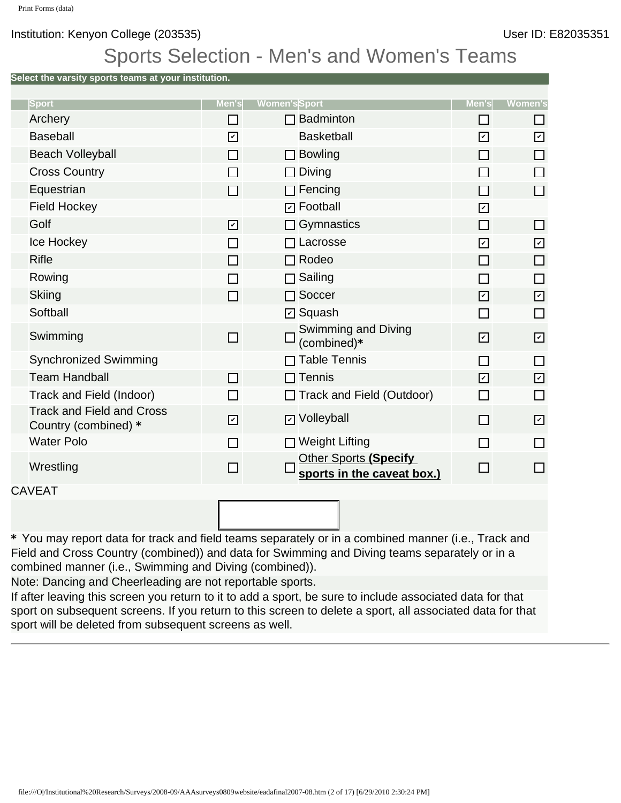## Sports Selection - Men's and Women's Teams

**Select the varsity sports teams at your institution.**

| <b>Sport</b>                                             | Men's                 | <b>Women's</b> Sport                                | Men's                 | <b>Women's</b>          |
|----------------------------------------------------------|-----------------------|-----------------------------------------------------|-----------------------|-------------------------|
| Archery                                                  | П                     | $\Box$ Badminton                                    | ΙI                    | H                       |
| Baseball                                                 | $\boxed{\mathcal{V}}$ | <b>Basketball</b>                                   | $\boxed{\mathcal{V}}$ | $\overline{\mathbf{v}}$ |
| <b>Beach Volleyball</b>                                  | □                     | $\square$ Bowling                                   | П                     | $\Box$                  |
| <b>Cross Country</b>                                     | П                     | $\Box$ Diving                                       | П                     | П                       |
| Equestrian                                               | П                     | $\Box$ Fencing                                      | П                     | $\Box$                  |
| <b>Field Hockey</b>                                      |                       | <b>D</b> Football                                   | ☑                     |                         |
| Golf                                                     | ☑                     | $\Box$ Gymnastics                                   | П                     | $\Box$                  |
| Ice Hockey                                               | $\Box$                | $\Box$ Lacrosse                                     | ☑                     | $\boxed{\mathcal{L}}$   |
| <b>Rifle</b>                                             | П                     | $\Box$ Rodeo                                        | П                     | $\Box$                  |
| Rowing                                                   | П                     | $\Box$ Sailing                                      | П                     | П                       |
| <b>Skiing</b>                                            | П                     | $\Box$ Soccer                                       | $\boxed{\mathcal{V}}$ | $\boxdot$               |
| Softball                                                 |                       | <b>☑</b> Squash                                     | П                     | $\Box$                  |
| Swimming                                                 | П                     | Swimming and Diving<br>(combined)*                  | ☑                     | $\boxed{\mathcal{L}}$   |
| <b>Synchronized Swimming</b>                             |                       | $\Box$ Table Tennis                                 | П                     | П                       |
| <b>Team Handball</b>                                     | П                     | $\Box$ Tennis                                       | $\boxed{\mathcal{V}}$ | $\boxdot$               |
| Track and Field (Indoor)                                 | П                     | □ Track and Field (Outdoor)                         | П                     | $\Box$                  |
| <b>Track and Field and Cross</b><br>Country (combined) * | $\boxed{\mathcal{V}}$ | <b>D</b> Volleyball                                 | п                     | $\boxed{\mathcal{L}}$   |
| <b>Water Polo</b>                                        | П                     | $\Box$ Weight Lifting                               | П                     | П                       |
| Wrestling                                                | П                     | Other Sports (Specify<br>sports in the caveat box.) | П                     | П                       |
| CAVEAT                                                   |                       |                                                     |                       |                         |
|                                                          |                       |                                                     |                       |                         |

**\*** You may report data for track and field teams separately or in a combined manner (i.e., Track and Field and Cross Country (combined)) and data for Swimming and Diving teams separately or in a combined manner (i.e., Swimming and Diving (combined)).

Note: Dancing and Cheerleading are not reportable sports.

If after leaving this screen you return to it to add a sport, be sure to include associated data for that sport on subsequent screens. If you return to this screen to delete a sport, all associated data for that sport will be deleted from subsequent screens as well.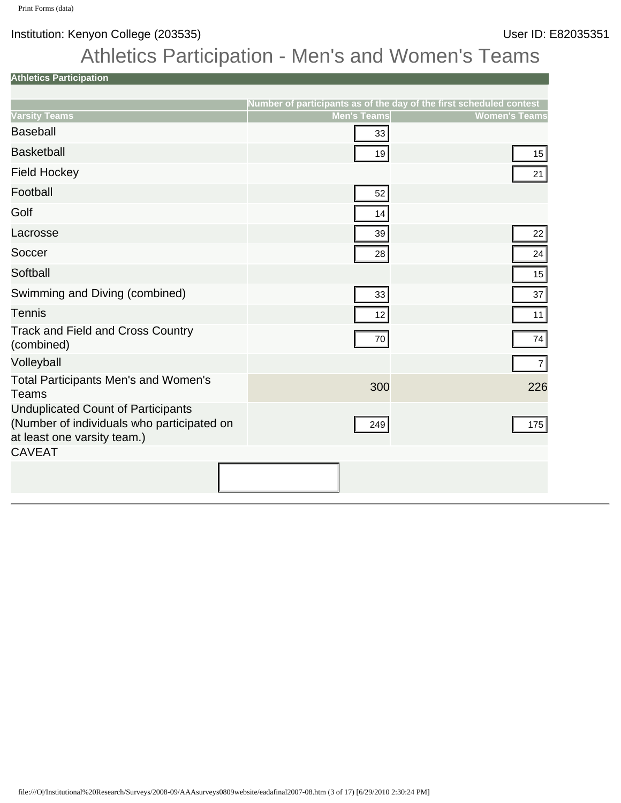# Athletics Participation - Men's and Women's Teams

**Athletics Participation**

|                                                                                                                                 | Number of participants as of the day of the first scheduled contest |                      |
|---------------------------------------------------------------------------------------------------------------------------------|---------------------------------------------------------------------|----------------------|
| <b>Varsity Teams</b>                                                                                                            | <b>Men's Teams</b>                                                  | <b>Women's Teams</b> |
| <b>Baseball</b>                                                                                                                 | 33                                                                  |                      |
| <b>Basketball</b>                                                                                                               | 19                                                                  | 15                   |
| <b>Field Hockey</b>                                                                                                             |                                                                     | 21                   |
| Football                                                                                                                        | 52                                                                  |                      |
| Golf                                                                                                                            | 14                                                                  |                      |
| Lacrosse                                                                                                                        | 39                                                                  | 22                   |
| Soccer                                                                                                                          | 28                                                                  | 24                   |
| Softball                                                                                                                        |                                                                     | 15                   |
| Swimming and Diving (combined)                                                                                                  | 33                                                                  | 37                   |
| <b>Tennis</b>                                                                                                                   | 12                                                                  | 11                   |
| <b>Track and Field and Cross Country</b><br>(combined)                                                                          | 70                                                                  | 74                   |
| Volleyball                                                                                                                      |                                                                     | 7                    |
| Total Participants Men's and Women's<br><b>Teams</b>                                                                            | 300                                                                 | 226                  |
| <b>Unduplicated Count of Participants</b><br>(Number of individuals who participated on<br>at least one varsity team.)          | 249                                                                 | 175                  |
| <b>CAVEAT</b>                                                                                                                   |                                                                     |                      |
|                                                                                                                                 |                                                                     |                      |
|                                                                                                                                 |                                                                     |                      |
|                                                                                                                                 |                                                                     |                      |
|                                                                                                                                 |                                                                     |                      |
|                                                                                                                                 |                                                                     |                      |
|                                                                                                                                 |                                                                     |                      |
|                                                                                                                                 |                                                                     |                      |
|                                                                                                                                 |                                                                     |                      |
|                                                                                                                                 |                                                                     |                      |
|                                                                                                                                 |                                                                     |                      |
|                                                                                                                                 |                                                                     |                      |
|                                                                                                                                 |                                                                     |                      |
|                                                                                                                                 |                                                                     |                      |
|                                                                                                                                 |                                                                     |                      |
|                                                                                                                                 |                                                                     |                      |
|                                                                                                                                 |                                                                     |                      |
| file:///O /Institutional%20Research/Surveys/2008-09/AAAsurveys0809website/eadafinal2007-08.htm (3 of 17) [6/29/2010 2:30:24 PM] |                                                                     |                      |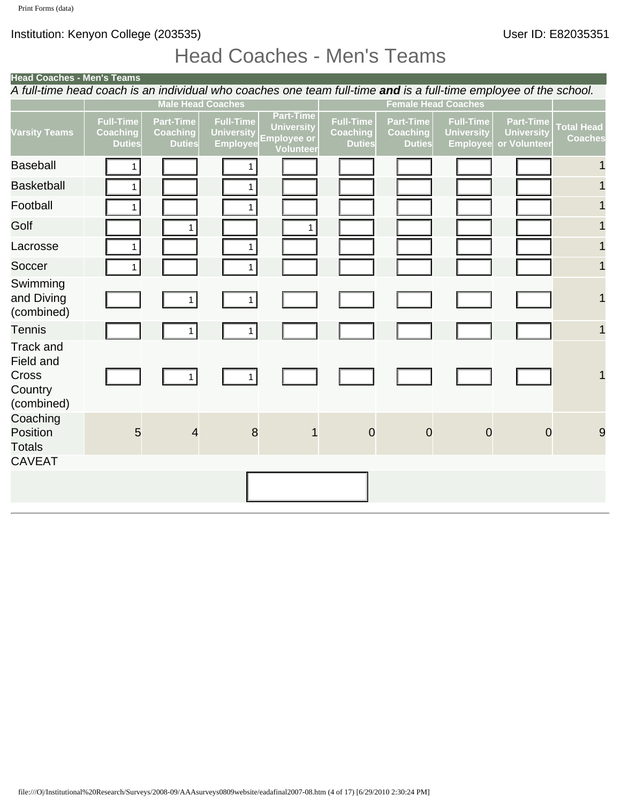# Head Coaches - Men's Teams

| Head Coaches - Men's Teams                                                                                                      |                                                      |                                                      |                                                          |                                                                                 |                                                      |                                                      |                                                          |                                                       |                                     |
|---------------------------------------------------------------------------------------------------------------------------------|------------------------------------------------------|------------------------------------------------------|----------------------------------------------------------|---------------------------------------------------------------------------------|------------------------------------------------------|------------------------------------------------------|----------------------------------------------------------|-------------------------------------------------------|-------------------------------------|
| A full-time head coach is an individual who coaches one team full-time and is a full-time employee of the school.               |                                                      | <b>Male Head Coaches</b>                             |                                                          |                                                                                 |                                                      | <b>Female Head Coaches</b>                           |                                                          |                                                       |                                     |
| <b>Varsity Teams</b>                                                                                                            | <b>Full-Time</b><br><b>Coaching</b><br><b>Duties</b> | <b>Part-Time</b><br><b>Coaching</b><br><b>Duties</b> | <b>Full-Time</b><br><b>University</b><br><b>Employee</b> | <b>Part-Time</b><br><b>University</b><br><b>Employee or</b><br><b>Volunteer</b> | <b>Full-Time</b><br><b>Coaching</b><br><b>Duties</b> | <b>Part-Time</b><br><b>Coaching</b><br><b>Duties</b> | <b>Full-Time</b><br><b>University</b><br><b>Employee</b> | <b>Part-Time</b><br><b>University</b><br>or Volunteer | <b>Total Head</b><br><b>Coaches</b> |
| <b>Baseball</b>                                                                                                                 | 1                                                    |                                                      |                                                          |                                                                                 |                                                      |                                                      |                                                          |                                                       |                                     |
| <b>Basketball</b>                                                                                                               | 1                                                    |                                                      | 1 <sup>1</sup>                                           |                                                                                 |                                                      |                                                      |                                                          |                                                       |                                     |
| Football                                                                                                                        | $\mathbf{1}$                                         |                                                      | 1 <sup>1</sup>                                           |                                                                                 |                                                      |                                                      |                                                          |                                                       | 1                                   |
| Golf                                                                                                                            |                                                      | $\mathbf{1}$                                         |                                                          | $\mathbf{1}$                                                                    |                                                      |                                                      |                                                          |                                                       | 1                                   |
| Lacrosse                                                                                                                        | 1                                                    |                                                      | 1 <sup>1</sup>                                           |                                                                                 |                                                      |                                                      |                                                          |                                                       | 1                                   |
| Soccer                                                                                                                          | 1                                                    |                                                      | 1 <sup>1</sup>                                           |                                                                                 |                                                      |                                                      |                                                          |                                                       | 1                                   |
| Swimming<br>and Diving<br>(combined)                                                                                            |                                                      | $\mathbf{1}$                                         | 1                                                        |                                                                                 |                                                      |                                                      |                                                          |                                                       | 1                                   |
| Tennis                                                                                                                          |                                                      | 1                                                    | 1                                                        |                                                                                 |                                                      |                                                      |                                                          |                                                       | $\mathbf 1$                         |
| Track and<br><b>Field and</b><br>Cross<br>Country<br>(combined)                                                                 |                                                      | 1                                                    | 1                                                        |                                                                                 |                                                      |                                                      |                                                          |                                                       | 1                                   |
| Coaching<br>Position<br>Totals                                                                                                  | 5                                                    | 4                                                    | 8                                                        | 1                                                                               | $\mathbf 0$                                          | $\mathbf 0$                                          | $\mathbf 0$                                              | $\mathbf 0$                                           | 9                                   |
| <b>CAVEAT</b>                                                                                                                   |                                                      |                                                      |                                                          |                                                                                 |                                                      |                                                      |                                                          |                                                       |                                     |
|                                                                                                                                 |                                                      |                                                      |                                                          |                                                                                 |                                                      |                                                      |                                                          |                                                       |                                     |
|                                                                                                                                 |                                                      |                                                      |                                                          |                                                                                 |                                                      |                                                      |                                                          |                                                       |                                     |
|                                                                                                                                 |                                                      |                                                      |                                                          |                                                                                 |                                                      |                                                      |                                                          |                                                       |                                     |
|                                                                                                                                 |                                                      |                                                      |                                                          |                                                                                 |                                                      |                                                      |                                                          |                                                       |                                     |
|                                                                                                                                 |                                                      |                                                      |                                                          |                                                                                 |                                                      |                                                      |                                                          |                                                       |                                     |
|                                                                                                                                 |                                                      |                                                      |                                                          |                                                                                 |                                                      |                                                      |                                                          |                                                       |                                     |
|                                                                                                                                 |                                                      |                                                      |                                                          |                                                                                 |                                                      |                                                      |                                                          |                                                       |                                     |
|                                                                                                                                 |                                                      |                                                      |                                                          |                                                                                 |                                                      |                                                      |                                                          |                                                       |                                     |
|                                                                                                                                 |                                                      |                                                      |                                                          |                                                                                 |                                                      |                                                      |                                                          |                                                       |                                     |
|                                                                                                                                 |                                                      |                                                      |                                                          |                                                                                 |                                                      |                                                      |                                                          |                                                       |                                     |
|                                                                                                                                 |                                                      |                                                      |                                                          |                                                                                 |                                                      |                                                      |                                                          |                                                       |                                     |
|                                                                                                                                 |                                                      |                                                      |                                                          |                                                                                 |                                                      |                                                      |                                                          |                                                       |                                     |
|                                                                                                                                 |                                                      |                                                      |                                                          |                                                                                 |                                                      |                                                      |                                                          |                                                       |                                     |
|                                                                                                                                 |                                                      |                                                      |                                                          |                                                                                 |                                                      |                                                      |                                                          |                                                       |                                     |
| file:///O /Institutional%20Research/Surveys/2008-09/AAAsurveys0809website/eadafinal2007-08.htm (4 of 17) [6/29/2010 2:30:24 PM] |                                                      |                                                      |                                                          |                                                                                 |                                                      |                                                      |                                                          |                                                       |                                     |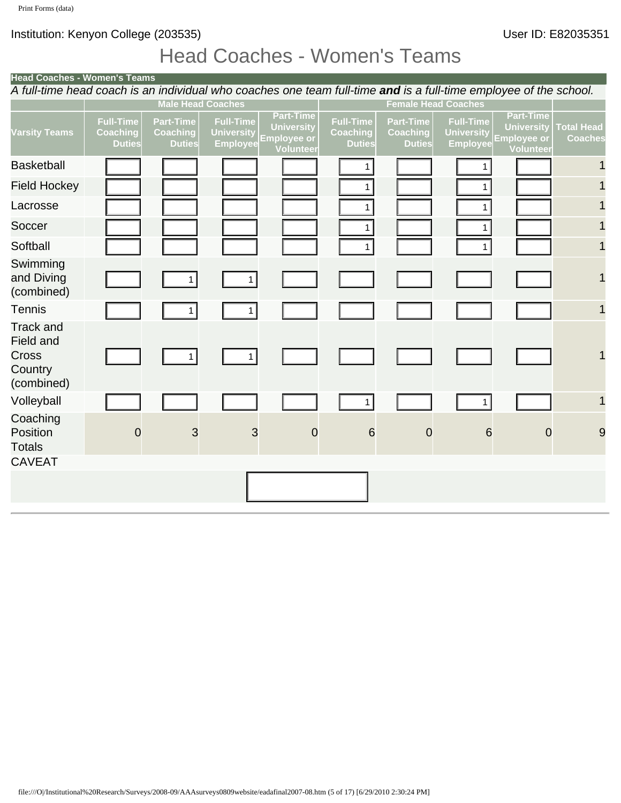# Head Coaches - Women's Teams

| Head Coaches - Women's Teams                  |                                                      |                                                          |                                                           |                                               |                                                      |                                                          |                                                      |                                                                                                                                                                         |
|-----------------------------------------------|------------------------------------------------------|----------------------------------------------------------|-----------------------------------------------------------|-----------------------------------------------|------------------------------------------------------|----------------------------------------------------------|------------------------------------------------------|-------------------------------------------------------------------------------------------------------------------------------------------------------------------------|
|                                               |                                                      |                                                          |                                                           |                                               |                                                      |                                                          |                                                      |                                                                                                                                                                         |
| <b>Full-Time</b><br>Coaching<br><b>Duties</b> | <b>Part-Time</b><br><b>Coaching</b><br><b>Duties</b> | <b>Full-Time</b><br><b>University</b><br><b>Employee</b> | <b>Part-Time</b><br><b>University</b><br><b>Volunteer</b> | Full-Time<br><b>Coaching</b><br><b>Duties</b> | <b>Part-Time</b><br><b>Coaching</b><br><b>Duties</b> | <b>Full-Time</b><br><b>University</b><br><b>Employee</b> | <b>Part-Time</b><br>University<br><b>Employee or</b> | <b>Total Head</b><br><b>Coaches</b>                                                                                                                                     |
|                                               |                                                      |                                                          |                                                           | 1                                             |                                                      |                                                          |                                                      |                                                                                                                                                                         |
|                                               |                                                      |                                                          |                                                           | 1                                             |                                                      | $\mathbf{1}$                                             |                                                      |                                                                                                                                                                         |
|                                               |                                                      |                                                          |                                                           | $\mathbf{1}$                                  |                                                      | 1 <sup>1</sup>                                           |                                                      |                                                                                                                                                                         |
|                                               |                                                      |                                                          |                                                           | $\mathbf{1}$                                  |                                                      | 1                                                        |                                                      |                                                                                                                                                                         |
|                                               |                                                      |                                                          |                                                           | $\mathbf{1}$                                  |                                                      | 1 <sup>1</sup>                                           |                                                      |                                                                                                                                                                         |
|                                               | 1 <sup>1</sup>                                       | 1                                                        |                                                           |                                               |                                                      |                                                          |                                                      | 1                                                                                                                                                                       |
|                                               | 1 <sup>1</sup>                                       | 1                                                        |                                                           |                                               |                                                      |                                                          |                                                      | 1                                                                                                                                                                       |
|                                               | 1                                                    | 1                                                        |                                                           |                                               |                                                      |                                                          |                                                      | 1                                                                                                                                                                       |
|                                               |                                                      |                                                          |                                                           | $\mathbf{1}$                                  |                                                      | 1                                                        |                                                      | 1                                                                                                                                                                       |
| $\mathbf 0$                                   | 3                                                    | 3                                                        | $\mathbf 0$                                               | $6\phantom{1}6$                               | $\mathbf 0$                                          |                                                          |                                                      | 9                                                                                                                                                                       |
|                                               |                                                      |                                                          |                                                           |                                               |                                                      |                                                          |                                                      |                                                                                                                                                                         |
|                                               |                                                      |                                                          |                                                           |                                               |                                                      |                                                          |                                                      |                                                                                                                                                                         |
|                                               |                                                      |                                                          |                                                           |                                               |                                                      |                                                          |                                                      |                                                                                                                                                                         |
|                                               |                                                      |                                                          | <b>Male Head Coaches</b>                                  | <b>Employee or</b>                            |                                                      |                                                          | <b>Female Head Coaches</b>                           | A full-time head coach is an individual who coaches one team full-time and is a full-time employee of the school.<br><b>Volunteer</b><br>$6\phantom{1}6$<br>$\mathbf 0$ |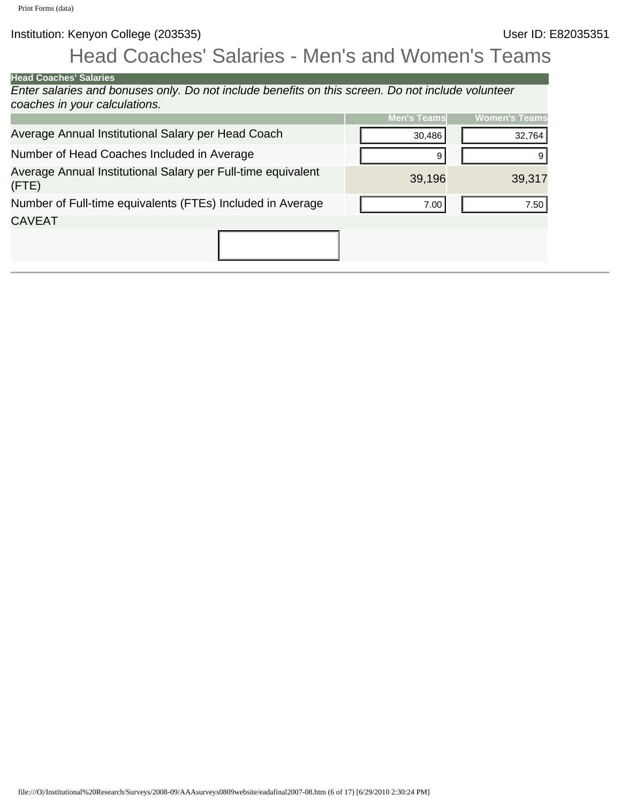# Head Coaches' Salaries - Men's and Women's Teams

| <b>Head Coaches' Salaries</b>                                                                                                   |                    |                      |
|---------------------------------------------------------------------------------------------------------------------------------|--------------------|----------------------|
| Enter salaries and bonuses only. Do not include benefits on this screen. Do not include volunteer                               |                    |                      |
| coaches in your calculations.                                                                                                   |                    | <b>Women's Teams</b> |
|                                                                                                                                 | <b>Men's Teams</b> |                      |
| Average Annual Institutional Salary per Head Coach                                                                              | 30,486             | 32,764               |
| Number of Head Coaches Included in Average                                                                                      | 9                  | $9\,$                |
| Average Annual Institutional Salary per Full-time equivalent<br>(FTE)                                                           | 39,196             | 39,317               |
| Number of Full-time equivalents (FTEs) Included in Average                                                                      | 7.00               | 7.50                 |
| <b>CAVEAT</b>                                                                                                                   |                    |                      |
|                                                                                                                                 |                    |                      |
|                                                                                                                                 |                    |                      |
|                                                                                                                                 |                    |                      |
|                                                                                                                                 |                    |                      |
|                                                                                                                                 |                    |                      |
|                                                                                                                                 |                    |                      |
|                                                                                                                                 |                    |                      |
|                                                                                                                                 |                    |                      |
|                                                                                                                                 |                    |                      |
|                                                                                                                                 |                    |                      |
|                                                                                                                                 |                    |                      |
|                                                                                                                                 |                    |                      |
|                                                                                                                                 |                    |                      |
|                                                                                                                                 |                    |                      |
|                                                                                                                                 |                    |                      |
|                                                                                                                                 |                    |                      |
|                                                                                                                                 |                    |                      |
|                                                                                                                                 |                    |                      |
|                                                                                                                                 |                    |                      |
|                                                                                                                                 |                    |                      |
|                                                                                                                                 |                    |                      |
|                                                                                                                                 |                    |                      |
|                                                                                                                                 |                    |                      |
|                                                                                                                                 |                    |                      |
|                                                                                                                                 |                    |                      |
|                                                                                                                                 |                    |                      |
|                                                                                                                                 |                    |                      |
|                                                                                                                                 |                    |                      |
|                                                                                                                                 |                    |                      |
|                                                                                                                                 |                    |                      |
|                                                                                                                                 |                    |                      |
|                                                                                                                                 |                    |                      |
|                                                                                                                                 |                    |                      |
|                                                                                                                                 |                    |                      |
|                                                                                                                                 |                    |                      |
|                                                                                                                                 |                    |                      |
|                                                                                                                                 |                    |                      |
|                                                                                                                                 |                    |                      |
| file:///O /Institutional%20Research/Surveys/2008-09/AAAsurveys0809website/eadafinal2007-08.htm (6 of 17) [6/29/2010 2:30:24 PM] |                    |                      |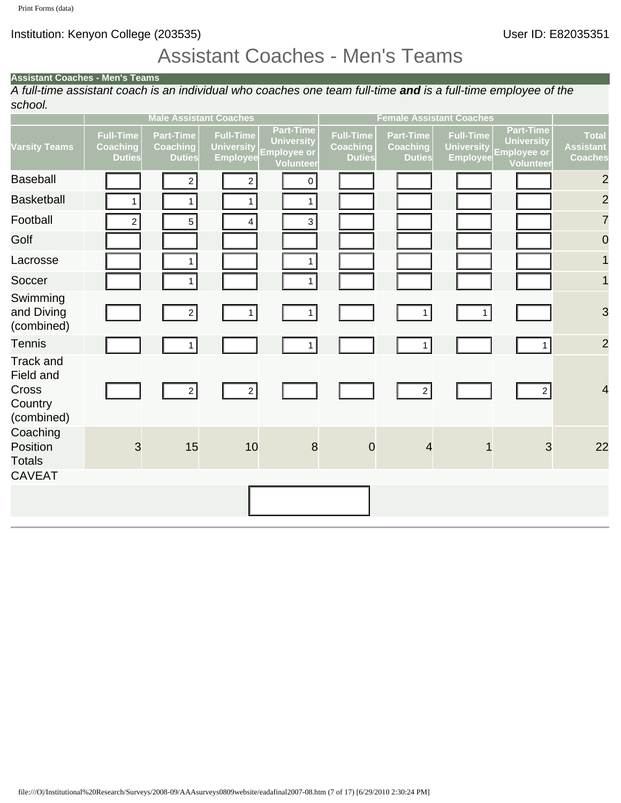## Assistant Coaches - Men's Teams

#### **Assistant Coaches - Men's Teams**

*A full-time assistant coach is an individual who coaches one team full-time and is a full-time employee of the school.*

|                                                                                                                                 | <b>Male Assistant Coaches</b>                        |                                                      |                                                          | <b>Female Assistant Coaches</b>                                                 |                                                      |                                                      |                                                          |                                                                          |                                                    |
|---------------------------------------------------------------------------------------------------------------------------------|------------------------------------------------------|------------------------------------------------------|----------------------------------------------------------|---------------------------------------------------------------------------------|------------------------------------------------------|------------------------------------------------------|----------------------------------------------------------|--------------------------------------------------------------------------|----------------------------------------------------|
| <b>Varsity Teams</b>                                                                                                            | <b>Full-Time</b><br><b>Coaching</b><br><b>Duties</b> | <b>Part-Time</b><br><b>Coaching</b><br><b>Duties</b> | <b>Full-Time</b><br><b>University</b><br><b>Employee</b> | <b>Part-Time</b><br><b>University</b><br><b>Employee or</b><br><b>Volunteer</b> | <b>Full-Time</b><br><b>Coaching</b><br><b>Duties</b> | <b>Part-Time</b><br><b>Coaching</b><br><b>Duties</b> | <b>Full-Time</b><br><b>University</b><br><b>Employee</b> | <b>Part-Time</b><br><b>University</b><br><b>Employee or</b><br>Volunteer | <b>Total</b><br><b>Assistant</b><br><b>Coaches</b> |
| <b>Baseball</b>                                                                                                                 |                                                      | $2\vert$                                             | $\mathbf{2}$                                             | $\overline{0}$                                                                  |                                                      |                                                      |                                                          |                                                                          | $\overline{c}$                                     |
| <b>Basketball</b>                                                                                                               | $\mathbf{1}$                                         | 1                                                    | 1                                                        | 1                                                                               |                                                      |                                                      |                                                          |                                                                          | $\overline{c}$                                     |
| Football                                                                                                                        | $\mathbf{2}$                                         | 5 <sup>2</sup>                                       | $\vert 4 \vert$                                          | 3                                                                               |                                                      |                                                      |                                                          |                                                                          | $\overline{7}$                                     |
| Golf                                                                                                                            |                                                      |                                                      |                                                          |                                                                                 |                                                      |                                                      |                                                          |                                                                          | $\overline{0}$                                     |
| Lacrosse                                                                                                                        |                                                      | 1                                                    |                                                          | 1                                                                               |                                                      |                                                      |                                                          |                                                                          | $\mathbf 1$                                        |
| Soccer                                                                                                                          |                                                      | 1                                                    |                                                          | 1                                                                               |                                                      |                                                      |                                                          |                                                                          | $\mathbf{1}$                                       |
| Swimming<br>and Diving<br>(combined)                                                                                            |                                                      | $2\vert$                                             | 1                                                        | 1                                                                               |                                                      | 1                                                    | 1                                                        |                                                                          | 3                                                  |
| <b>Tennis</b>                                                                                                                   |                                                      | 1                                                    |                                                          | 1                                                                               |                                                      | 1                                                    |                                                          | 1                                                                        | $\overline{2}$                                     |
| <b>Track and</b><br>Field and<br>Cross<br>Country<br>(combined)                                                                 |                                                      | $\left  \frac{2}{3} \right $                         | $2\vert$                                                 |                                                                                 |                                                      | $\left  \frac{2}{3} \right $                         |                                                          | $2\vert$                                                                 | $\overline{4}$                                     |
| Coaching<br>Position<br><b>Totals</b><br><b>CAVEAT</b>                                                                          | $\mathbf{3}$                                         | 15                                                   | $10$                                                     | $\bf 8$                                                                         | $\overline{0}$                                       | 4                                                    | 1                                                        | $\mathbf{3}$                                                             | 22                                                 |
|                                                                                                                                 |                                                      |                                                      |                                                          |                                                                                 |                                                      |                                                      |                                                          |                                                                          |                                                    |
|                                                                                                                                 |                                                      |                                                      |                                                          |                                                                                 |                                                      |                                                      |                                                          |                                                                          |                                                    |
| file:///O /Institutional%20Research/Surveys/2008-09/AAAsurveys0809website/eadafinal2007-08.htm (7 of 17) [6/29/2010 2:30:24 PM] |                                                      |                                                      |                                                          |                                                                                 |                                                      |                                                      |                                                          |                                                                          |                                                    |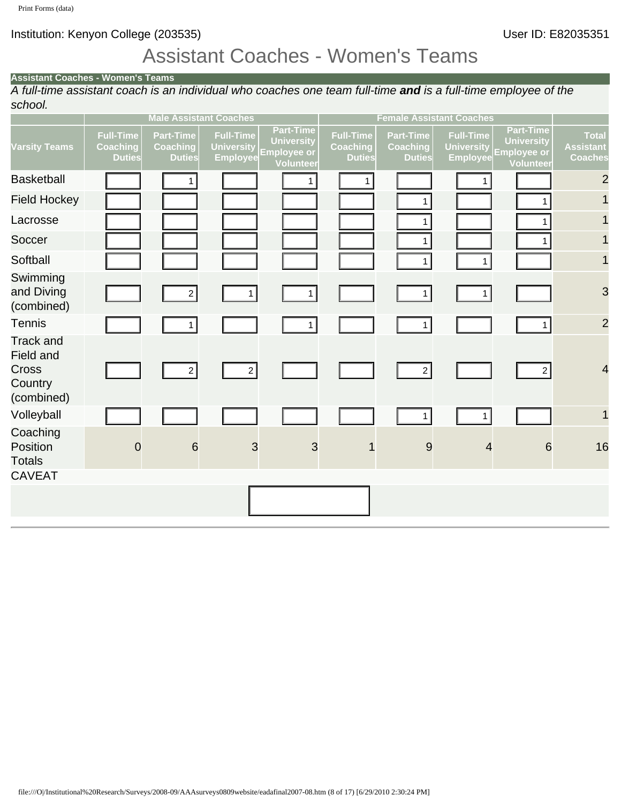## Assistant Coaches - Women's Teams

#### **Assistant Coaches - Women's Teams**

*A full-time assistant coach is an individual who coaches one team full-time and is a full-time employee of the school.*

|                                                                                                                                 |                                                      | <b>Male Assistant Coaches</b>                        |                                                          |                                                                                 |                                                      | <b>Female Assistant Coaches</b>                      |                                                          |                                                                          |                                             |
|---------------------------------------------------------------------------------------------------------------------------------|------------------------------------------------------|------------------------------------------------------|----------------------------------------------------------|---------------------------------------------------------------------------------|------------------------------------------------------|------------------------------------------------------|----------------------------------------------------------|--------------------------------------------------------------------------|---------------------------------------------|
| <b>Varsity Teams</b>                                                                                                            | <b>Full-Time</b><br><b>Coaching</b><br><b>Duties</b> | <b>Part-Time</b><br><b>Coaching</b><br><b>Duties</b> | <b>Full-Time</b><br><b>University</b><br><b>Employee</b> | <b>Part-Time</b><br><b>University</b><br><b>Employee or</b><br><b>Volunteer</b> | <b>Full-Time</b><br><b>Coaching</b><br><b>Duties</b> | <b>Part-Time</b><br><b>Coaching</b><br><b>Duties</b> | <b>Full-Time</b><br><b>University</b><br><b>Employee</b> | <b>Part-Time</b><br><b>University</b><br><b>Employee or</b><br>Volunteer | <b>Total</b><br><b>Assistant</b><br>Coaches |
| <b>Basketball</b>                                                                                                               |                                                      | 1 <sup>1</sup>                                       |                                                          | 1 <sup>1</sup>                                                                  | $\mathbf{1}$                                         |                                                      | 1                                                        |                                                                          | $\overline{c}$                              |
| <b>Field Hockey</b>                                                                                                             |                                                      |                                                      |                                                          |                                                                                 |                                                      | 1                                                    |                                                          | $\mathbf{1}$                                                             | $\mathbf{1}$                                |
| Lacrosse                                                                                                                        |                                                      |                                                      |                                                          |                                                                                 |                                                      | 1                                                    |                                                          | $\mathbf{1}$                                                             |                                             |
| Soccer                                                                                                                          |                                                      |                                                      |                                                          |                                                                                 |                                                      | 1                                                    |                                                          | 1                                                                        | $\mathbf{1}$                                |
| Softball                                                                                                                        |                                                      |                                                      |                                                          |                                                                                 |                                                      | $\mathbf{1}$                                         | $\mathbf{1}$                                             |                                                                          | $\mathbf{1}$                                |
| Swimming<br>and Diving<br>(combined)                                                                                            |                                                      | $2\vert$                                             | 1                                                        | 1                                                                               |                                                      | 1                                                    | 1                                                        |                                                                          | 3                                           |
| <b>Tennis</b>                                                                                                                   |                                                      | 1                                                    |                                                          | 1 <sup>1</sup>                                                                  |                                                      | 1                                                    |                                                          | 1                                                                        | $\overline{c}$                              |
| <b>Track and</b><br>Field and<br>Cross<br>Country<br>(combined)                                                                 |                                                      | 2                                                    | $2\vert$                                                 |                                                                                 |                                                      | $2\vert$                                             |                                                          | $\left  \frac{2}{2} \right $                                             | $\overline{\mathcal{A}}$                    |
| Volleyball                                                                                                                      |                                                      |                                                      |                                                          |                                                                                 |                                                      | 1                                                    | 1                                                        |                                                                          | $\mathbf{1}$                                |
| Coaching<br>Position<br><b>Totals</b><br><b>CAVEAT</b>                                                                          | $\mathbf 0$                                          | $6\phantom{1}6$                                      | $\mathbf{3}$                                             | $\mathfrak{S}$                                                                  |                                                      | $\overline{9}$                                       | $\overline{4}$                                           | $6\phantom{1}6$                                                          | 16                                          |
|                                                                                                                                 |                                                      |                                                      |                                                          |                                                                                 |                                                      |                                                      |                                                          |                                                                          |                                             |
|                                                                                                                                 |                                                      |                                                      |                                                          |                                                                                 |                                                      |                                                      |                                                          |                                                                          |                                             |
| file:///O /Institutional%20Research/Surveys/2008-09/AAAsurveys0809website/eadafinal2007-08.htm (8 of 17) [6/29/2010 2:30:24 PM] |                                                      |                                                      |                                                          |                                                                                 |                                                      |                                                      |                                                          |                                                                          |                                             |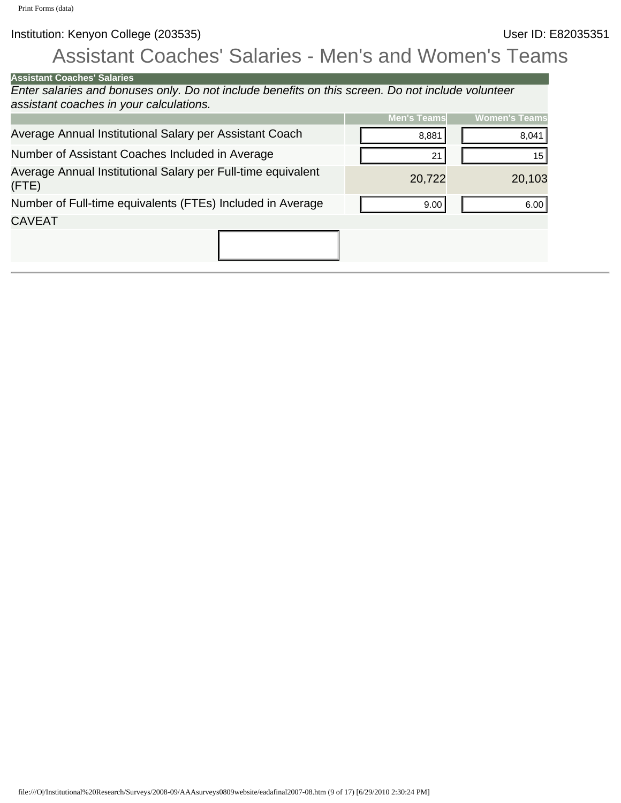# Assistant Coaches' Salaries - Men's and Women's Teams

| <b>Assistant Coaches' Salaries</b>                                                                                              |                    |                      |
|---------------------------------------------------------------------------------------------------------------------------------|--------------------|----------------------|
| Enter salaries and bonuses only. Do not include benefits on this screen. Do not include volunteer                               |                    |                      |
| assistant coaches in your calculations.                                                                                         |                    |                      |
|                                                                                                                                 | <b>Men's Teams</b> | <b>Women's Teams</b> |
| Average Annual Institutional Salary per Assistant Coach                                                                         | 8,881              | 8,041                |
| Number of Assistant Coaches Included in Average                                                                                 | 21                 | 15                   |
|                                                                                                                                 |                    |                      |
| Average Annual Institutional Salary per Full-time equivalent<br>(FTE)                                                           | 20,722             | 20,103               |
| Number of Full-time equivalents (FTEs) Included in Average                                                                      | 9.00               | 6.00                 |
| <b>CAVEAT</b>                                                                                                                   |                    |                      |
|                                                                                                                                 |                    |                      |
|                                                                                                                                 |                    |                      |
|                                                                                                                                 |                    |                      |
|                                                                                                                                 |                    |                      |
|                                                                                                                                 |                    |                      |
|                                                                                                                                 |                    |                      |
|                                                                                                                                 |                    |                      |
|                                                                                                                                 |                    |                      |
|                                                                                                                                 |                    |                      |
|                                                                                                                                 |                    |                      |
|                                                                                                                                 |                    |                      |
|                                                                                                                                 |                    |                      |
|                                                                                                                                 |                    |                      |
|                                                                                                                                 |                    |                      |
|                                                                                                                                 |                    |                      |
|                                                                                                                                 |                    |                      |
|                                                                                                                                 |                    |                      |
|                                                                                                                                 |                    |                      |
|                                                                                                                                 |                    |                      |
|                                                                                                                                 |                    |                      |
|                                                                                                                                 |                    |                      |
|                                                                                                                                 |                    |                      |
|                                                                                                                                 |                    |                      |
|                                                                                                                                 |                    |                      |
|                                                                                                                                 |                    |                      |
|                                                                                                                                 |                    |                      |
|                                                                                                                                 |                    |                      |
|                                                                                                                                 |                    |                      |
|                                                                                                                                 |                    |                      |
|                                                                                                                                 |                    |                      |
|                                                                                                                                 |                    |                      |
|                                                                                                                                 |                    |                      |
|                                                                                                                                 |                    |                      |
|                                                                                                                                 |                    |                      |
|                                                                                                                                 |                    |                      |
|                                                                                                                                 |                    |                      |
|                                                                                                                                 |                    |                      |
|                                                                                                                                 |                    |                      |
|                                                                                                                                 |                    |                      |
| file:///O /Institutional%20Research/Surveys/2008-09/AAAsurveys0809website/eadafinal2007-08.htm (9 of 17) [6/29/2010 2:30:24 PM] |                    |                      |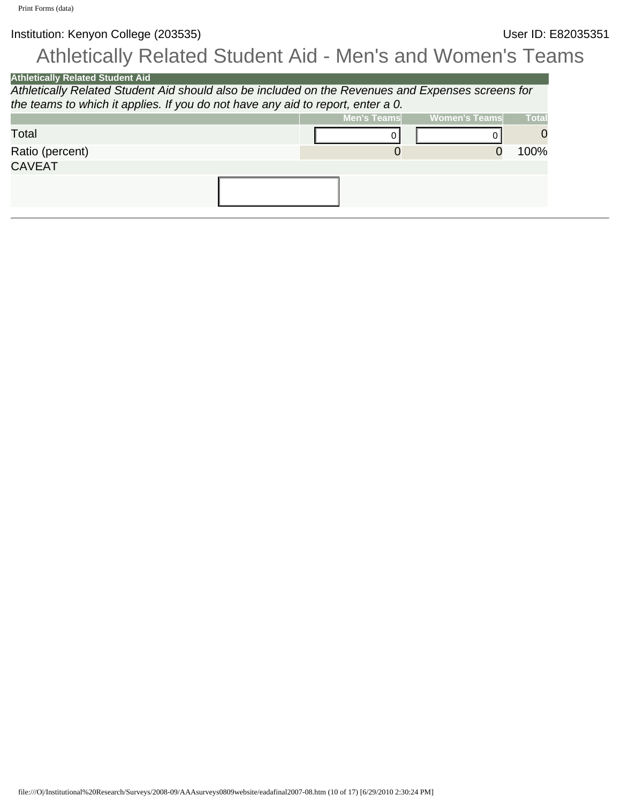# Athletically Related Student Aid - Men's and Women's Teams

| <b>Athletically Related Student Aid</b>                                                                                          |                    |                      |              |
|----------------------------------------------------------------------------------------------------------------------------------|--------------------|----------------------|--------------|
| Athletically Related Student Aid should also be included on the Revenues and Expenses screens for                                |                    |                      |              |
| the teams to which it applies. If you do not have any aid to report, enter a 0.                                                  |                    |                      |              |
|                                                                                                                                  | <b>Men's Teams</b> | <b>Women's Teams</b> | <b>Total</b> |
| Total                                                                                                                            | 0                  | 0                    | 0            |
| Ratio (percent)                                                                                                                  | $\mathbf 0$        | $\mathbf 0$          | 100%         |
| <b>CAVEAT</b>                                                                                                                    |                    |                      |              |
|                                                                                                                                  |                    |                      |              |
|                                                                                                                                  |                    |                      |              |
|                                                                                                                                  |                    |                      |              |
|                                                                                                                                  |                    |                      |              |
|                                                                                                                                  |                    |                      |              |
|                                                                                                                                  |                    |                      |              |
|                                                                                                                                  |                    |                      |              |
|                                                                                                                                  |                    |                      |              |
|                                                                                                                                  |                    |                      |              |
|                                                                                                                                  |                    |                      |              |
|                                                                                                                                  |                    |                      |              |
|                                                                                                                                  |                    |                      |              |
|                                                                                                                                  |                    |                      |              |
|                                                                                                                                  |                    |                      |              |
|                                                                                                                                  |                    |                      |              |
|                                                                                                                                  |                    |                      |              |
|                                                                                                                                  |                    |                      |              |
|                                                                                                                                  |                    |                      |              |
|                                                                                                                                  |                    |                      |              |
|                                                                                                                                  |                    |                      |              |
|                                                                                                                                  |                    |                      |              |
|                                                                                                                                  |                    |                      |              |
|                                                                                                                                  |                    |                      |              |
|                                                                                                                                  |                    |                      |              |
|                                                                                                                                  |                    |                      |              |
|                                                                                                                                  |                    |                      |              |
|                                                                                                                                  |                    |                      |              |
|                                                                                                                                  |                    |                      |              |
|                                                                                                                                  |                    |                      |              |
|                                                                                                                                  |                    |                      |              |
|                                                                                                                                  |                    |                      |              |
|                                                                                                                                  |                    |                      |              |
|                                                                                                                                  |                    |                      |              |
|                                                                                                                                  |                    |                      |              |
|                                                                                                                                  |                    |                      |              |
|                                                                                                                                  |                    |                      |              |
|                                                                                                                                  |                    |                      |              |
|                                                                                                                                  |                    |                      |              |
|                                                                                                                                  |                    |                      |              |
|                                                                                                                                  |                    |                      |              |
|                                                                                                                                  |                    |                      |              |
|                                                                                                                                  |                    |                      |              |
|                                                                                                                                  |                    |                      |              |
| file:///O /Institutional%20Research/Surveys/2008-09/AAAsurveys0809website/eadafinal2007-08.htm (10 of 17) [6/29/2010 2:30:24 PM] |                    |                      |              |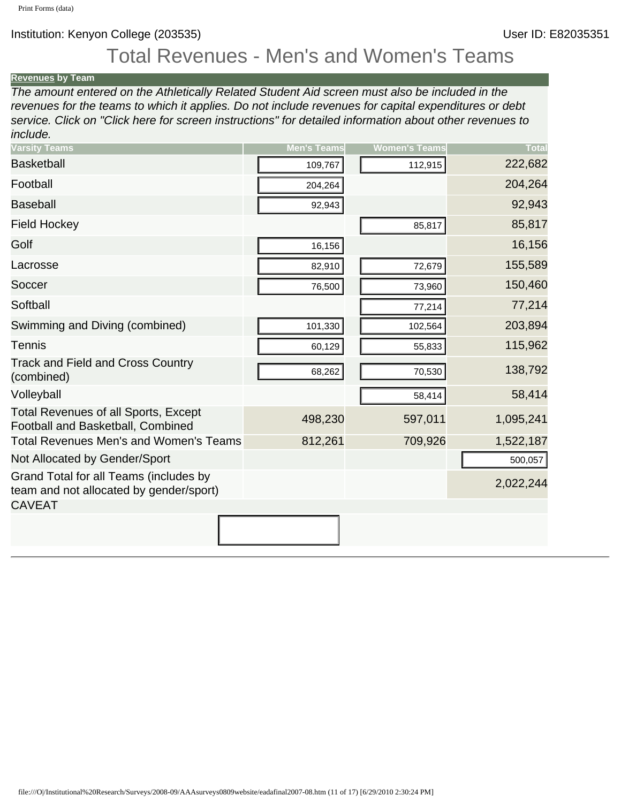## Total Revenues - Men's and Women's Teams

#### **[Revenues](javascript:openglossary(9)) by Team**

*The amount entered on the Athletically Related Student Aid screen must also be included in the revenues for the teams to which it applies. Do not include revenues for capital expenditures or debt service. Click on "Click here for screen instructions" for detailed information about other revenues to include.*

| <b>Varsity Teams</b>                                                                                                             | <b>Men's Teams</b> | <b>Women's Teams</b> | <b>Total</b> |
|----------------------------------------------------------------------------------------------------------------------------------|--------------------|----------------------|--------------|
| <b>Basketball</b>                                                                                                                | 109,767            | 112,915              | 222,682      |
| Football                                                                                                                         | 204,264            |                      | 204,264      |
| <b>Baseball</b>                                                                                                                  | 92,943             |                      | 92,943       |
| <b>Field Hockey</b>                                                                                                              |                    | 85,817               | 85,817       |
| Golf                                                                                                                             | 16,156             |                      | 16,156       |
| Lacrosse                                                                                                                         | 82,910             | 72,679               | 155,589      |
| Soccer                                                                                                                           | 76,500             | 73,960               | 150,460      |
| Softball                                                                                                                         |                    | 77,214               | 77,214       |
| Swimming and Diving (combined)                                                                                                   | 101,330            | 102,564              | 203,894      |
| <b>Tennis</b>                                                                                                                    | 60,129             | 55,833               | 115,962      |
| <b>Track and Field and Cross Country</b><br>(combined)                                                                           | 68,262             | 70,530               | 138,792      |
| Volleyball                                                                                                                       |                    | 58,414               | 58,414       |
| Total Revenues of all Sports, Except<br>Football and Basketball, Combined                                                        | 498,230            | 597,011              | 1,095,241    |
| Total Revenues Men's and Women's Teams                                                                                           | 812,261            | 709,926              | 1,522,187    |
| Not Allocated by Gender/Sport                                                                                                    |                    |                      | 500,057      |
| Grand Total for all Teams (includes by<br>team and not allocated by gender/sport)<br><b>CAVEAT</b>                               |                    |                      | 2,022,244    |
|                                                                                                                                  |                    |                      |              |
|                                                                                                                                  |                    |                      |              |
|                                                                                                                                  |                    |                      |              |
| file:///O /Institutional%20Research/Surveys/2008-09/AAAsurveys0809website/eadafinal2007-08.htm (11 of 17) [6/29/2010 2:30:24 PM] |                    |                      |              |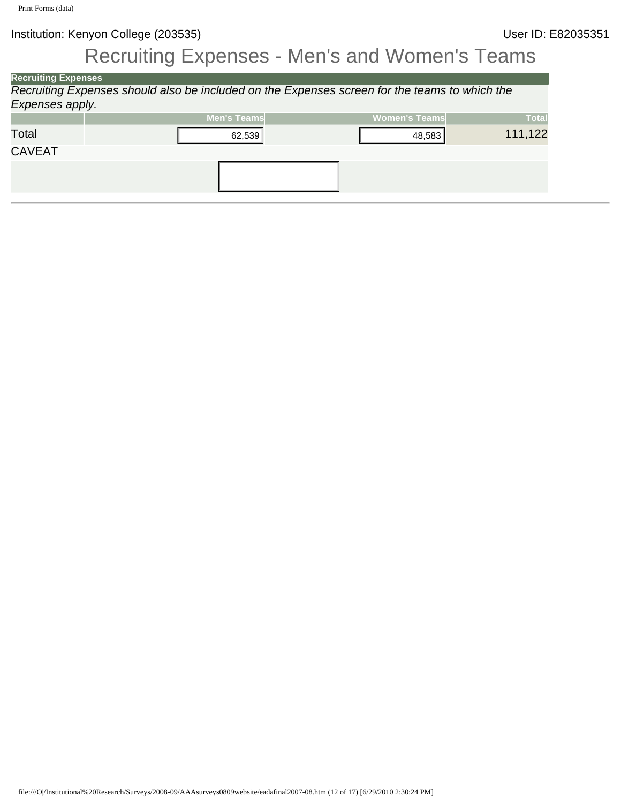# Recruiting Expenses - Men's and Women's Teams

| <b>Recruiting Expenses</b> |                                                                                                                                  |        |                                                                                               |              |
|----------------------------|----------------------------------------------------------------------------------------------------------------------------------|--------|-----------------------------------------------------------------------------------------------|--------------|
|                            |                                                                                                                                  |        | Recruiting Expenses should also be included on the Expenses screen for the teams to which the |              |
| Expenses apply.            |                                                                                                                                  |        |                                                                                               |              |
|                            | <b>Men's Teams</b>                                                                                                               |        | <b>Women's Teams</b>                                                                          | <b>Total</b> |
| Total                      |                                                                                                                                  | 62,539 | 48,583                                                                                        | 111,122      |
| CAVEAT                     |                                                                                                                                  |        |                                                                                               |              |
|                            |                                                                                                                                  |        |                                                                                               |              |
|                            |                                                                                                                                  |        |                                                                                               |              |
|                            |                                                                                                                                  |        |                                                                                               |              |
|                            |                                                                                                                                  |        |                                                                                               |              |
|                            |                                                                                                                                  |        |                                                                                               |              |
|                            |                                                                                                                                  |        |                                                                                               |              |
|                            |                                                                                                                                  |        |                                                                                               |              |
|                            |                                                                                                                                  |        |                                                                                               |              |
|                            |                                                                                                                                  |        |                                                                                               |              |
|                            |                                                                                                                                  |        |                                                                                               |              |
|                            |                                                                                                                                  |        |                                                                                               |              |
|                            |                                                                                                                                  |        |                                                                                               |              |
|                            |                                                                                                                                  |        |                                                                                               |              |
|                            |                                                                                                                                  |        |                                                                                               |              |
|                            |                                                                                                                                  |        |                                                                                               |              |
|                            |                                                                                                                                  |        |                                                                                               |              |
|                            |                                                                                                                                  |        |                                                                                               |              |
|                            |                                                                                                                                  |        |                                                                                               |              |
|                            |                                                                                                                                  |        |                                                                                               |              |
|                            |                                                                                                                                  |        |                                                                                               |              |
|                            |                                                                                                                                  |        |                                                                                               |              |
|                            |                                                                                                                                  |        |                                                                                               |              |
|                            |                                                                                                                                  |        |                                                                                               |              |
|                            |                                                                                                                                  |        |                                                                                               |              |
|                            |                                                                                                                                  |        |                                                                                               |              |
|                            |                                                                                                                                  |        |                                                                                               |              |
|                            |                                                                                                                                  |        |                                                                                               |              |
|                            |                                                                                                                                  |        |                                                                                               |              |
|                            |                                                                                                                                  |        |                                                                                               |              |
|                            |                                                                                                                                  |        |                                                                                               |              |
|                            |                                                                                                                                  |        |                                                                                               |              |
|                            |                                                                                                                                  |        |                                                                                               |              |
|                            |                                                                                                                                  |        |                                                                                               |              |
|                            |                                                                                                                                  |        |                                                                                               |              |
|                            |                                                                                                                                  |        |                                                                                               |              |
|                            |                                                                                                                                  |        |                                                                                               |              |
|                            |                                                                                                                                  |        |                                                                                               |              |
|                            |                                                                                                                                  |        |                                                                                               |              |
|                            |                                                                                                                                  |        |                                                                                               |              |
|                            |                                                                                                                                  |        |                                                                                               |              |
|                            |                                                                                                                                  |        |                                                                                               |              |
|                            |                                                                                                                                  |        |                                                                                               |              |
|                            |                                                                                                                                  |        |                                                                                               |              |
|                            |                                                                                                                                  |        |                                                                                               |              |
|                            |                                                                                                                                  |        |                                                                                               |              |
|                            |                                                                                                                                  |        |                                                                                               |              |
|                            |                                                                                                                                  |        |                                                                                               |              |
|                            | file:///O /Institutional%20Research/Surveys/2008-09/AAAsurveys0809website/eadafinal2007-08.htm (12 of 17) [6/29/2010 2:30:24 PM] |        |                                                                                               |              |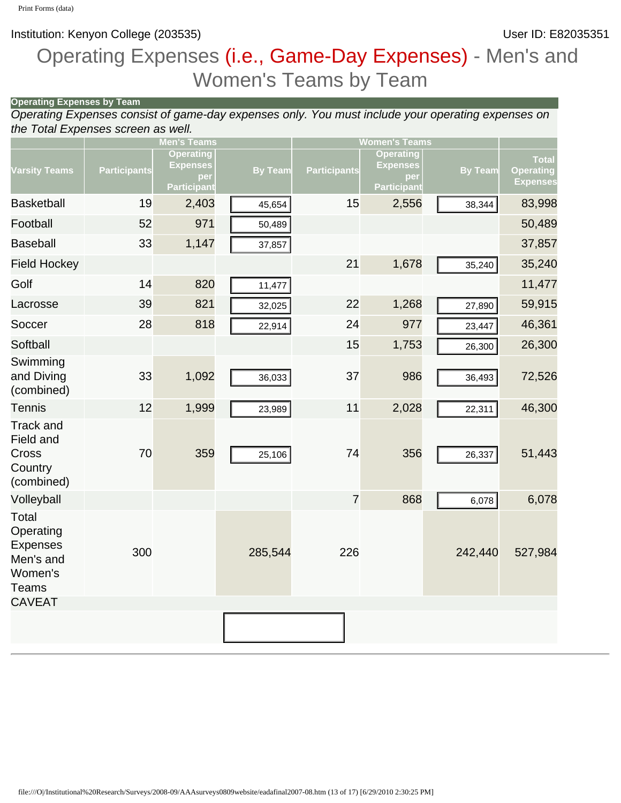**Operating Expenses by Team**

Institution: Kenyon College (203535) **Institution: Kenyon College (203535)** 

# Operating Expenses (i.e., Game-Day Expenses) - Men's and Women's Teams by Team

| the Total Expenses screen as well.                                                             | operating Lypenses by Team i |                                                                  | Operating Expenses consist of game-day expenses only. You must include your operating expenses on |                     |                                                                  |                |                                                     |
|------------------------------------------------------------------------------------------------|------------------------------|------------------------------------------------------------------|---------------------------------------------------------------------------------------------------|---------------------|------------------------------------------------------------------|----------------|-----------------------------------------------------|
|                                                                                                |                              | <b>Men's Teams</b>                                               |                                                                                                   |                     | <b>Women's Teams</b>                                             |                |                                                     |
| <b>Varsity Teams</b>                                                                           | <b>Participants</b>          | <b>Operating</b><br><b>Expenses</b><br>per<br><b>Participant</b> | <b>By Team</b>                                                                                    | <b>Participants</b> | <b>Operating</b><br><b>Expenses</b><br>per<br><b>Participant</b> | <b>By Team</b> | <b>Total</b><br><b>Operating</b><br><b>Expenses</b> |
| <b>Basketball</b>                                                                              | 19                           | 2,403                                                            | 45,654                                                                                            | 15                  | 2,556                                                            | 38,344         | 83,998                                              |
| Football                                                                                       | 52                           | 971                                                              | 50,489                                                                                            |                     |                                                                  |                | 50,489                                              |
| <b>Baseball</b>                                                                                | 33                           | 1,147                                                            | 37,857                                                                                            |                     |                                                                  |                | 37,857                                              |
| <b>Field Hockey</b>                                                                            |                              |                                                                  |                                                                                                   | 21                  | 1,678                                                            | 35,240         | 35,240                                              |
| Golf                                                                                           | 14                           | 820                                                              | 11,477                                                                                            |                     |                                                                  |                | 11,477                                              |
| Lacrosse                                                                                       | 39                           | 821                                                              | 32,025                                                                                            | 22                  | 1,268                                                            | 27,890         | 59,915                                              |
| Soccer                                                                                         | 28                           | 818                                                              | 22,914                                                                                            | 24                  | 977                                                              | 23,447         | 46,361                                              |
| Softball                                                                                       |                              |                                                                  |                                                                                                   | 15                  | 1,753                                                            | 26,300         | 26,300                                              |
| Swimming<br>and Diving<br>(combined)                                                           | 33                           | 1,092                                                            | 36,033                                                                                            | 37                  | 986                                                              | 36,493         | 72,526                                              |
| <b>Tennis</b>                                                                                  | 12                           | 1,999                                                            | 23,989                                                                                            | 11                  | 2,028                                                            | 22,311         | 46,300                                              |
| <b>Track and</b><br>Field and<br>Cross<br>Country<br>(combined)                                | 70                           | 359                                                              | 25,106                                                                                            | 74                  | 356                                                              | 26,337         | 51,443                                              |
| Volleyball                                                                                     |                              |                                                                  |                                                                                                   | $\overline{7}$      | 868                                                              | 6,078          | 6,078                                               |
| Total<br>Operating<br><b>Expenses</b><br>Men's and<br>Women's<br><b>Teams</b><br><b>CAVEAT</b> | 300                          |                                                                  | 285,544                                                                                           | 226                 |                                                                  | 242,440        | 527,984                                             |
|                                                                                                |                              |                                                                  |                                                                                                   |                     |                                                                  |                |                                                     |
|                                                                                                |                              |                                                                  |                                                                                                   |                     |                                                                  |                |                                                     |
|                                                                                                |                              |                                                                  |                                                                                                   |                     |                                                                  |                |                                                     |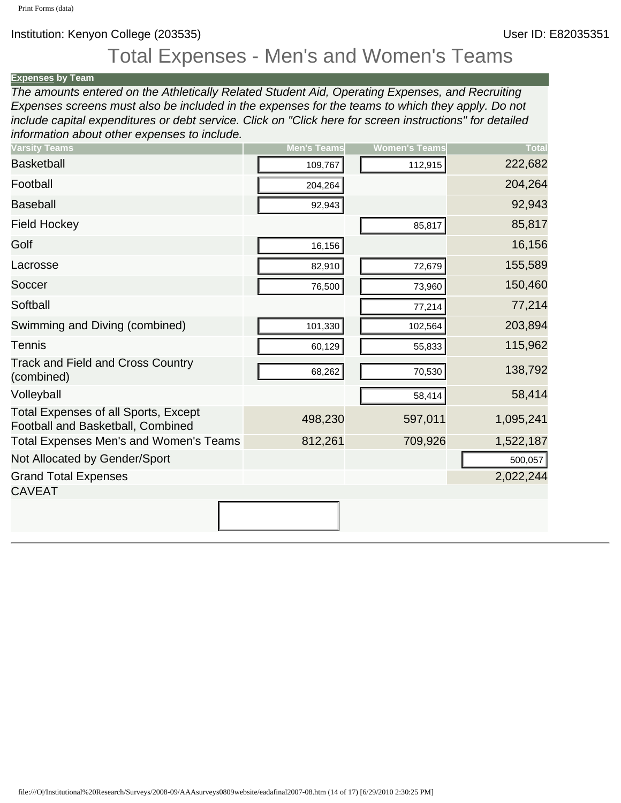## Total Expenses - Men's and Women's Teams

**[Expenses](javascript:openglossary(3)) by Team** *The amounts entered on the Athletically Related Student Aid, Operating Expenses, and Recruiting Expenses screens must also be included in the expenses for the teams to which they apply. Do not include capital expenditures or debt service. Click on "Click here for screen instructions" for detailed information about other expenses to include.*

| <b>Varsity Teams</b>                                                                                                             | <b>Men's Teams</b> | <b>Women's Teams</b> | <b>Total</b> |
|----------------------------------------------------------------------------------------------------------------------------------|--------------------|----------------------|--------------|
| <b>Basketball</b>                                                                                                                | 109,767            | 112,915              | 222,682      |
| Football                                                                                                                         | 204,264            |                      | 204,264      |
| <b>Baseball</b>                                                                                                                  | 92,943             |                      | 92,943       |
| <b>Field Hockey</b>                                                                                                              |                    | 85,817               | 85,817       |
| Golf                                                                                                                             | 16,156             |                      | 16,156       |
| Lacrosse                                                                                                                         | 82,910             | 72,679               | 155,589      |
| Soccer                                                                                                                           | 76,500             | 73,960               | 150,460      |
| Softball                                                                                                                         |                    | 77,214               | 77,214       |
| Swimming and Diving (combined)                                                                                                   | 101,330            | 102,564              | 203,894      |
| <b>Tennis</b>                                                                                                                    | 60,129             | 55,833               | 115,962      |
| <b>Track and Field and Cross Country</b><br>(combined)                                                                           | 68,262             | 70,530               | 138,792      |
| Volleyball                                                                                                                       |                    | 58,414               | 58,414       |
| <b>Total Expenses of all Sports, Except</b><br>Football and Basketball, Combined                                                 | 498,230            | 597,011              | 1,095,241    |
| Total Expenses Men's and Women's Teams                                                                                           | 812,261            | 709,926              | 1,522,187    |
| Not Allocated by Gender/Sport                                                                                                    |                    |                      | 500,057      |
| <b>Grand Total Expenses</b><br><b>CAVEAT</b>                                                                                     |                    |                      | 2,022,244    |
|                                                                                                                                  |                    |                      |              |
|                                                                                                                                  |                    |                      |              |
|                                                                                                                                  |                    |                      |              |
|                                                                                                                                  |                    |                      |              |
|                                                                                                                                  |                    |                      |              |
|                                                                                                                                  |                    |                      |              |
|                                                                                                                                  |                    |                      |              |
|                                                                                                                                  |                    |                      |              |
| file:///O /Institutional%20Research/Surveys/2008-09/AAAsurveys0809website/eadafinal2007-08.htm (14 of 17) [6/29/2010 2:30:25 PM] |                    |                      |              |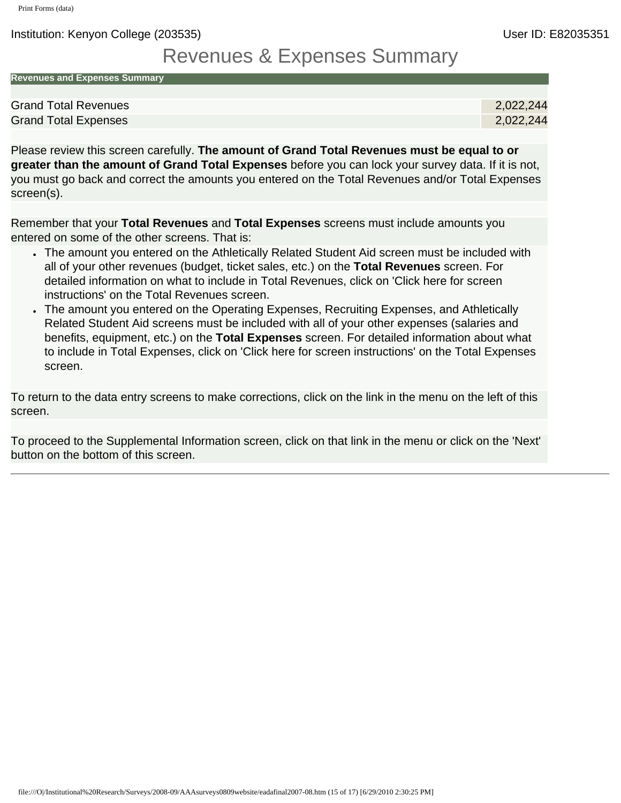Institution: Kenyon College (203535) User ID: E82035351

## Revenues & Expenses Summary

| <b>Revenues and Expenses Summary</b> |
|--------------------------------------|
|                                      |

| <b>Grand Total Revenues</b> | 2,022,244 |
|-----------------------------|-----------|
| <b>Grand Total Expenses</b> | 2,022,244 |

Please review this screen carefully. **The amount of Grand Total Revenues must be equal to or greater than the amount of Grand Total Expenses** before you can lock your survey data. If it is not, you must go back and correct the amounts you entered on the Total Revenues and/or Total Expenses screen(s).

Remember that your **Total Revenues** and **Total Expenses** screens must include amounts you entered on some of the other screens. That is:

- The amount you entered on the Athletically Related Student Aid screen must be included with all of your other revenues (budget, ticket sales, etc.) on the **Total Revenues** screen. For detailed information on what to include in Total Revenues, click on 'Click here for screen instructions' on the Total Revenues screen.
- The amount you entered on the Operating Expenses, Recruiting Expenses, and Athletically Related Student Aid screens must be included with all of your other expenses (salaries and benefits, equipment, etc.) on the **Total Expenses** screen. For detailed information about what to include in Total Expenses, click on 'Click here for screen instructions' on the Total Expenses screen.

To return to the data entry screens to make corrections, click on the link in the menu on the left of this screen.

To proceed to the Supplemental Information screen, click on that link in the menu or click on the 'Next' button on the bottom of this screen.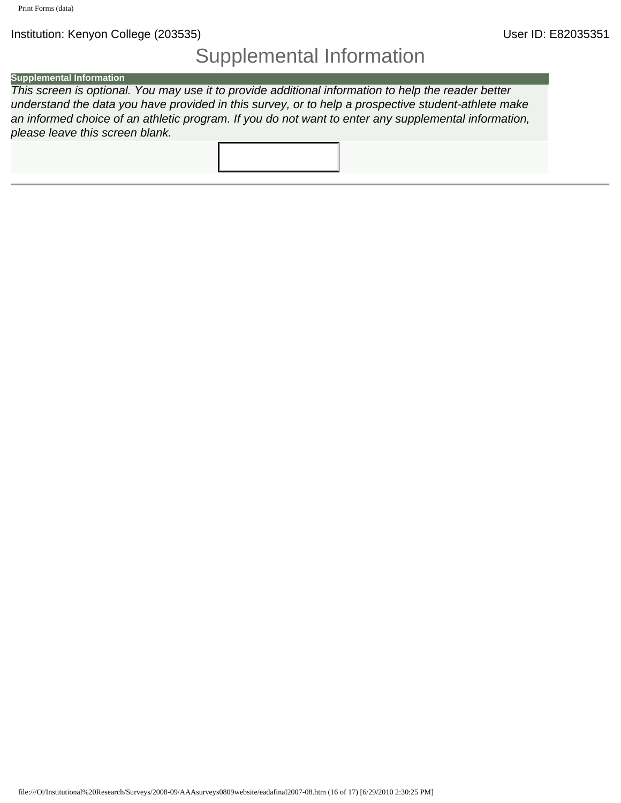## Supplemental Information

#### **Supplemental Information**

*This screen is optional. You may use it to provide additional information to help the reader better understand the data you have provided in this survey, or to help a prospective student-athlete make an informed choice of an athletic program. If you do not want to enter any supplemental information, please leave this screen blank.*